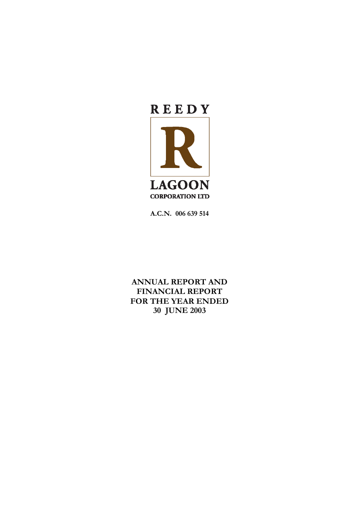

**A.C.N. 006 639 514** 

**ANNUAL REPORT AND FINANCIAL REPORT FOR THE YEAR ENDED 30 JUNE 2003**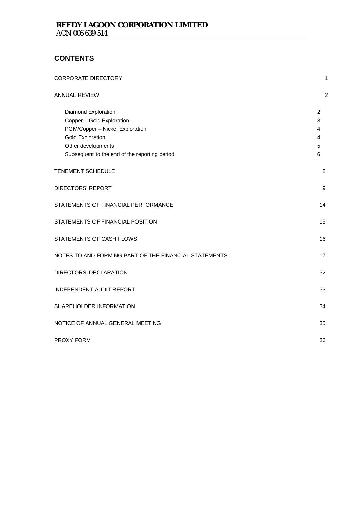## **CONTENTS**

| <b>CORPORATE DIRECTORY</b>                                                                                                                                                            | 1                                                    |
|---------------------------------------------------------------------------------------------------------------------------------------------------------------------------------------|------------------------------------------------------|
| <b>ANNUAL REVIEW</b>                                                                                                                                                                  | $\overline{c}$                                       |
| Diamond Exploration<br>Copper - Gold Exploration<br>PGM/Copper - Nickel Exploration<br><b>Gold Exploration</b><br>Other developments<br>Subsequent to the end of the reporting period | $\overline{2}$<br>3<br>4<br>$\overline{4}$<br>5<br>6 |
| TENEMENT SCHEDULE                                                                                                                                                                     | 8                                                    |
| <b>DIRECTORS' REPORT</b>                                                                                                                                                              | $\boldsymbol{9}$                                     |
| STATEMENTS OF FINANCIAL PERFORMANCE                                                                                                                                                   | 14                                                   |
| STATEMENTS OF FINANCIAL POSITION                                                                                                                                                      | 15                                                   |
| STATEMENTS OF CASH FLOWS                                                                                                                                                              | 16                                                   |
| NOTES TO AND FORMING PART OF THE FINANCIAL STATEMENTS                                                                                                                                 | 17                                                   |
| DIRECTORS' DECLARATION                                                                                                                                                                | 32                                                   |
| INDEPENDENT AUDIT REPORT                                                                                                                                                              | 33                                                   |
| SHAREHOLDER INFORMATION                                                                                                                                                               | 34                                                   |
| NOTICE OF ANNUAL GENERAL MEETING                                                                                                                                                      | 35                                                   |
| <b>PROXY FORM</b>                                                                                                                                                                     | 36                                                   |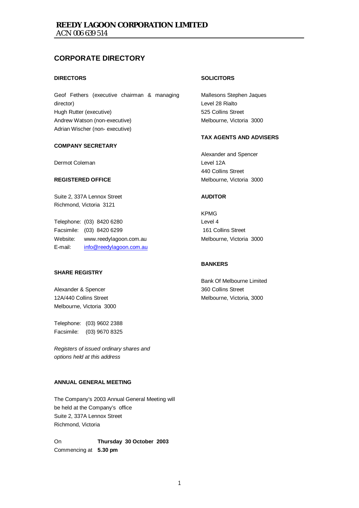## **CORPORATE DIRECTORY**

#### **DIRECTORS**

Geof Fethers (executive chairman & managing director) Hugh Rutter (executive) Andrew Watson (non-executive) Adrian Wischer (non- executive)

#### **COMPANY SECRETARY**

Dermot Coleman

#### **REGISTERED OFFICE**

Suite 2, 337A Lennox Street Richmond, Victoria 3121

Telephone: (03) 8420 6280 Facsimile: (03) 8420 6299 Website: www.reedylagoon.com.au E-mail: info@reedylagoon.com.au

### **SHARE REGISTRY**

Alexander & Spencer 12A/440 Collins Street Melbourne, Victoria 3000

Telephone: (03) 9602 2388 Facsimile: (03) 9670 8325

*Registers of issued ordinary shares and options held at this address* 

#### **ANNUAL GENERAL MEETING**

The Company's 2003 Annual General Meeting will be held at the Company's office Suite 2, 337A Lennox Street Richmond, Victoria

On **Thursday 30 October 2003** Commencing at **5.30 pm**

#### **SOLICITORS**

Mallesons Stephen Jaques Level 28 Rialto 525 Collins Street Melbourne, Victoria 3000

#### **TAX AGENTS AND ADVISERS**

Alexander and Spencer Level 12A 440 Collins Street Melbourne, Victoria 3000

#### **AUDITOR**

KPMG Level 4 161 Collins Street Melbourne, Victoria 3000

### **BANKERS**

Bank Of Melbourne Limited 360 Collins Street Melbourne, Victoria, 3000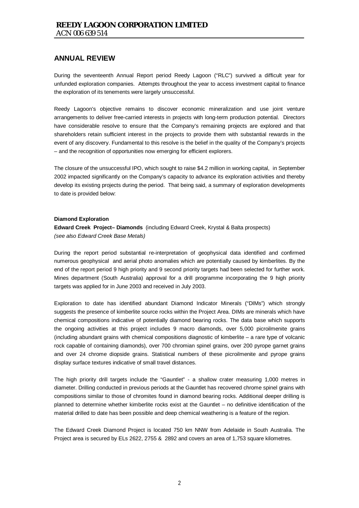During the seventeenth Annual Report period Reedy Lagoon ("RLC") survived a difficult year for unfunded exploration companies. Attempts throughout the year to access investment capital to finance the exploration of its tenements were largely unsuccessful.

Reedy Lagoon's objective remains to discover economic mineralization and use joint venture arrangements to deliver free-carried interests in projects with long-term production potential. Directors have considerable resolve to ensure that the Company's remaining projects are explored and that shareholders retain sufficient interest in the projects to provide them with substantial rewards in the event of any discovery. Fundamental to this resolve is the belief in the quality of the Company's projects – and the recognition of opportunities now emerging for efficient explorers.

The closure of the unsuccessful IPO, which sought to raise \$4.2 million in working capital, in September 2002 impacted significantly on the Company's capacity to advance its exploration activities and thereby develop its existing projects during the period. That being said, a summary of exploration developments to date is provided below:

#### **Diamond Exploration**

**Edward Creek Project– Diamonds** (including Edward Creek, Krystal & Balta prospects) *(see also Edward Creek Base Metals)* 

During the report period substantial re-interpretation of geophysical data identified and confirmed numerous geophysical and aerial photo anomalies which are potentially caused by kimberlites. By the end of the report period 9 high priority and 9 second priority targets had been selected for further work. Mines department (South Australia) approval for a drill programme incorporating the 9 high priority targets was applied for in June 2003 and received in July 2003.

Exploration to date has identified abundant Diamond Indicator Minerals ("DIMs") which strongly suggests the presence of kimberlite source rocks within the Project Area. DIMs are minerals which have chemical compositions indicative of potentially diamond bearing rocks. The data base which supports the ongoing activities at this project includes 9 macro diamonds, over 5,000 picroilmenite grains (including abundant grains with chemical compositions diagnostic of kimberlite – a rare type of volcanic rock capable of containing diamonds), over 700 chromian spinel grains, over 200 pyrope garnet grains and over 24 chrome diopside grains. Statistical numbers of these picroilmenite and pyrope grains display surface textures indicative of small travel distances.

The high priority drill targets include the "Gauntlet" - a shallow crater measuring 1,000 metres in diameter. Drilling conducted in previous periods at the Gauntlet has recovered chrome spinel grains with compositions similar to those of chromites found in diamond bearing rocks. Additional deeper drilling is planned to determine whether kimberlite rocks exist at the Gauntlet – no definitive identification of the material drilled to date has been possible and deep chemical weathering is a feature of the region.

The Edward Creek Diamond Project is located 750 km NNW from Adelaide in South Australia. The Project area is secured by ELs 2622, 2755 & 2892 and covers an area of 1,753 square kilometres.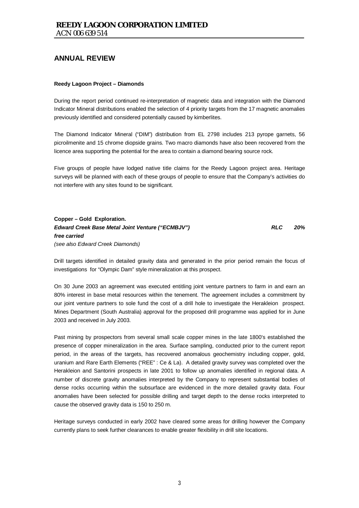#### **Reedy Lagoon Project – Diamonds**

During the report period continued re-interpretation of magnetic data and integration with the Diamond Indicator Mineral distributions enabled the selection of 4 priority targets from the 17 magnetic anomalies previously identified and considered potentially caused by kimberlites.

The Diamond Indicator Mineral ("DIM") distribution from EL 2798 includes 213 pyrope garnets, 56 picroilmenite and 15 chrome diopside grains. Two macro diamonds have also been recovered from the licence area supporting the potential for the area to contain a diamond bearing source rock.

Five groups of people have lodged native title claims for the Reedy Lagoon project area. Heritage surveys will be planned with each of these groups of people to ensure that the Company's activities do not interfere with any sites found to be significant.

**Copper – Gold Exploration.**  *Edward Creek Base Metal Joint Venture ("ECMBJV") RLC 20% free carried (see also Edward Creek Diamonds)* 

Drill targets identified in detailed gravity data and generated in the prior period remain the focus of investigations for "Olympic Dam" style mineralization at this prospect.

On 30 June 2003 an agreement was executed entitling joint venture partners to farm in and earn an 80% interest in base metal resources within the tenement. The agreement includes a commitment by our joint venture partners to sole fund the cost of a drill hole to investigate the Herakleion prospect. Mines Department (South Australia) approval for the proposed drill programme was applied for in June 2003 and received in July 2003.

Past mining by prospectors from several small scale copper mines in the late 1800's established the presence of copper mineralization in the area. Surface sampling, conducted prior to the current report period, in the areas of the targets, has recovered anomalous geochemistry including copper, gold, uranium and Rare Earth Elements ("REE" : Ce & La). A detailed gravity survey was completed over the Herakleion and Santorini prospects in late 2001 to follow up anomalies identified in regional data. A number of discrete gravity anomalies interpreted by the Company to represent substantial bodies of dense rocks occurring within the subsurface are evidenced in the more detailed gravity data. Four anomalies have been selected for possible drilling and target depth to the dense rocks interpreted to cause the observed gravity data is 150 to 250 m.

Heritage surveys conducted in early 2002 have cleared some areas for drilling however the Company currently plans to seek further clearances to enable greater flexibility in drill site locations.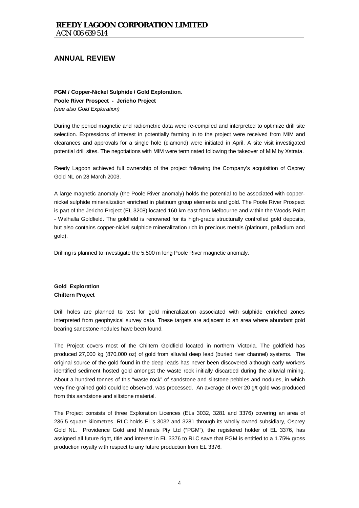**PGM / Copper-Nickel Sulphide / Gold Exploration. Poole River Prospect - Jericho Project**  *(see also Gold Exploration)* 

During the period magnetic and radiometric data were re-compiled and interpreted to optimize drill site selection. Expressions of interest in potentially farming in to the project were received from MIM and clearances and approvals for a single hole (diamond) were initiated in April. A site visit investigated potential drill sites. The negotiations with MIM were terminated following the takeover of MIM by Xstrata.

Reedy Lagoon achieved full ownership of the project following the Company's acquisition of Osprey Gold NL on 28 March 2003.

A large magnetic anomaly (the Poole River anomaly) holds the potential to be associated with coppernickel sulphide mineralization enriched in platinum group elements and gold. The Poole River Prospect is part of the Jericho Project (EL 3208) located 160 km east from Melbourne and within the Woods Point - Walhalla Goldfield. The goldfield is renowned for its high-grade structurally controlled gold deposits, but also contains copper-nickel sulphide mineralization rich in precious metals (platinum, palladium and gold).

Drilling is planned to investigate the 5,500 m long Poole River magnetic anomaly.

### **Gold Exploration Chiltern Project**

Drill holes are planned to test for gold mineralization associated with sulphide enriched zones interpreted from geophysical survey data. These targets are adjacent to an area where abundant gold bearing sandstone nodules have been found.

The Project covers most of the Chiltern Goldfield located in northern Victoria. The goldfield has produced 27,000 kg (870,000 oz) of gold from alluvial deep lead (buried river channel) systems. The original source of the gold found in the deep leads has never been discovered although early workers identified sediment hosted gold amongst the waste rock initially discarded during the alluvial mining. About a hundred tonnes of this "waste rock" of sandstone and siltstone pebbles and nodules, in which very fine grained gold could be observed, was processed. An average of over 20 g/t gold was produced from this sandstone and siltstone material.

The Project consists of three Exploration Licences (ELs 3032, 3281 and 3376) covering an area of 236.5 square kilometres. RLC holds EL's 3032 and 3281 through its wholly owned subsidiary, Osprey Gold NL. Providence Gold and Minerals Pty Ltd ("PGM"), the registered holder of EL 3376, has assigned all future right, title and interest in EL 3376 to RLC save that PGM is entitled to a 1.75% gross production royalty with respect to any future production from EL 3376.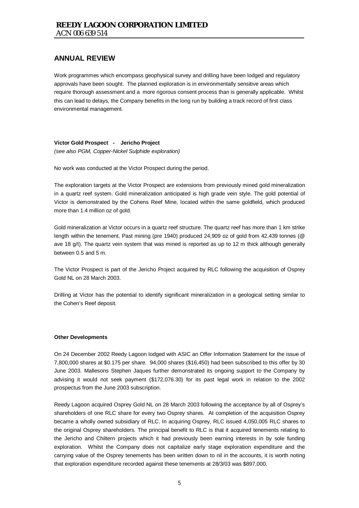Work programmes which encompass geophysical survey and drilling have been lodged and regulatory approvals have been sought. The planned exploration is in environmentally sensitive areas which require thorough assessment and a more rigorous consent process than is generally applicable. Whilst this can lead to delays, the Company benefits in the long run by building a track record of first class environmental management.

### **Victor Gold Prospect - Jericho Project**

*(see also PGM, Copper-Nickel Sulphide exploration)* 

No work was conducted at the Victor Prospect during the period.

The exploration targets at the Victor Prospect are extensions from previously mined gold mineralization in a quartz reef system. Gold mineralization anticipated is high grade vein style. The gold potential of Victor is demonstrated by the Cohens Reef Mine, located within the same goldfield, which produced more than 1.4 million oz of gold.

Gold mineralization at Victor occurs in a quartz reef structure. The quartz reef has more than 1 km strike length within the tenement. Past mining (pre 1940) produced 24,909 oz of gold from 42,439 tonnes (@ ave 18 g/t). The quartz vein system that was mined is reported as up to 12 m thick although generally between 0.5 and 5 m.

The Victor Prospect is part of the Jericho Project acquired by RLC following the acquisition of Osprey Gold NL on 28 March 2003.

Drilling at Victor has the potential to identify significant mineralization in a geological setting similar to the Cohen's Reef deposit.

#### **Other Developments**

On 24 December 2002 Reedy Lagoon lodged with ASIC an Offer Information Statement for the issue of 7,800,000 shares at \$0.175 per share. 94,000 shares (\$16,450) had been subscribed to this offer by 30 June 2003. Mallesons Stephen Jaques further demonstrated its ongoing support to the Company by advising it would not seek payment (\$172,076.30) for its past legal work in relation to the 2002 prospectus from the June 2003 subscription.

Reedy Lagoon acquired Osprey Gold NL on 28 March 2003 following the acceptance by all of Osprey's shareholders of one RLC share for every two Osprey shares. At completion of the acquisition Osprey became a wholly owned subsidiary of RLC. In acquiring Osprey, RLC issued 4,050,005 RLC shares to the original Osprey shareholders. The principal benefit to RLC is that it acquired tenements relating to the Jericho and Chiltern projects which it had previously been earning interests in by sole funding exploration. Whilst the Company does not capitalize early stage exploration expenditure and the carrying value of the Osprey tenements has been written down to nil in the accounts, it is worth noting that exploration expenditure recorded against these tenements at 28/3/03 was \$897,000.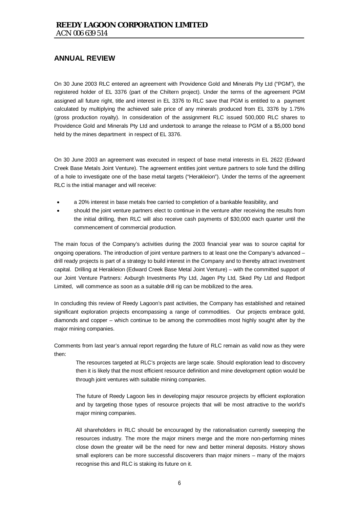On 30 June 2003 RLC entered an agreement with Providence Gold and Minerals Pty Ltd ("PGM"), the registered holder of EL 3376 (part of the Chiltern project). Under the terms of the agreement PGM assigned all future right, title and interest in EL 3376 to RLC save that PGM is entitled to a payment calculated by multiplying the achieved sale price of any minerals produced from EL 3376 by 1.75% (gross production royalty). In consideration of the assignment RLC issued 500,000 RLC shares to Providence Gold and Minerals Pty Ltd and undertook to arrange the release to PGM of a \$5,000 bond held by the mines department in respect of EL 3376.

On 30 June 2003 an agreement was executed in respect of base metal interests in EL 2622 (Edward Creek Base Metals Joint Venture). The agreement entitles joint venture partners to sole fund the drilling of a hole to investigate one of the base metal targets ("Herakleion"). Under the terms of the agreement RLC is the initial manager and will receive:

- a 20% interest in base metals free carried to completion of a bankable feasibility, and
- should the joint venture partners elect to continue in the venture after receiving the results from the initial drilling, then RLC will also receive cash payments of \$30,000 each quarter until the commencement of commercial production.

The main focus of the Company's activities during the 2003 financial year was to source capital for ongoing operations. The introduction of joint venture partners to at least one the Company's advanced – drill ready projects is part of a strategy to build interest in the Company and to thereby attract investment capital. Drilling at Herakleion (Edward Creek Base Metal Joint Venture) – with the committed support of our Joint Venture Partners: Axburgh Investments Pty Ltd, Jagen Pty Ltd, Sked Pty Ltd and Redport Limited, will commence as soon as a suitable drill rig can be mobilized to the area.

In concluding this review of Reedy Lagoon's past activities, the Company has established and retained significant exploration projects encompassing a range of commodities. Our projects embrace gold, diamonds and copper – which continue to be among the commodities most highly sought after by the major mining companies.

Comments from last year's annual report regarding the future of RLC remain as valid now as they were then:

The resources targeted at RLC's projects are large scale. Should exploration lead to discovery then it is likely that the most efficient resource definition and mine development option would be through joint ventures with suitable mining companies.

The future of Reedy Lagoon lies in developing major resource projects by efficient exploration and by targeting those types of resource projects that will be most attractive to the world's major mining companies.

All shareholders in RLC should be encouraged by the rationalisation currently sweeping the resources industry. The more the major miners merge and the more non-performing mines close down the greater will be the need for new and better mineral deposits. History shows small explorers can be more successful discoverers than major miners – many of the majors recognise this and RLC is staking its future on it.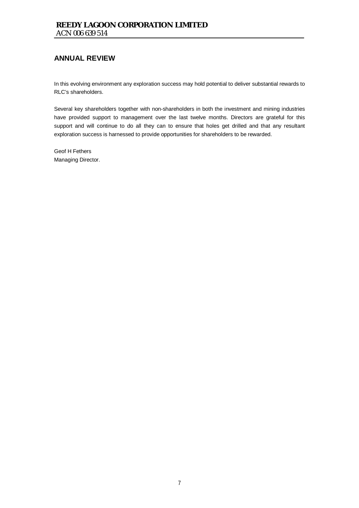In this evolving environment any exploration success may hold potential to deliver substantial rewards to RLC's shareholders.

Several key shareholders together with non-shareholders in both the investment and mining industries have provided support to management over the last twelve months. Directors are grateful for this support and will continue to do all they can to ensure that holes get drilled and that any resultant exploration success is harnessed to provide opportunities for shareholders to be rewarded.

Geof H Fethers Managing Director.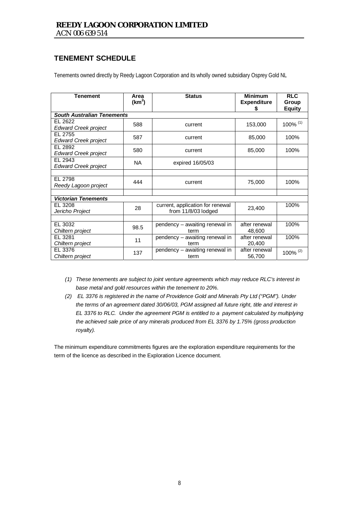## **TENEMENT SCHEDULE**

Tenements owned directly by Reedy Lagoon Corporation and its wholly owned subsidiary Osprey Gold NL

| <b>Tenement</b>                        | Area<br>(km <sup>2</sup> )    | <b>Status</b>                                           | <b>Minimum</b><br><b>Expenditure</b><br>S | <b>RLC</b><br>Group<br><b>Equity</b> |
|----------------------------------------|-------------------------------|---------------------------------------------------------|-------------------------------------------|--------------------------------------|
| <b>South Australian Tenements</b>      |                               |                                                         |                                           |                                      |
| EL 2622<br><b>Edward Creek project</b> | 588                           | current                                                 | 153,000                                   | 100% (1)                             |
| EL 2755<br><b>Edward Creek project</b> | 587                           | current                                                 | 85,000                                    | 100%                                 |
| EL 2892<br><b>Edward Creek project</b> | 580                           | current                                                 | 85,000                                    | 100%                                 |
| EL 2943<br><b>Edward Creek project</b> | <b>NA</b><br>expired 16/05/03 |                                                         |                                           |                                      |
|                                        |                               |                                                         |                                           |                                      |
| EL 2798<br>Reedy Lagoon project        | 444<br>current                |                                                         | 75,000                                    | 100%                                 |
|                                        |                               |                                                         |                                           |                                      |
| <b>Victorian Tenements</b>             |                               |                                                         |                                           |                                      |
| EL 3208<br>Jericho Project             | 28                            | current, application for renewal<br>from 11/8/03 lodged | 23,400                                    | 100%                                 |
|                                        |                               |                                                         |                                           |                                      |
| EL 3032<br>Chiltern project            | 98.5                          | pendency - awaiting renewal in<br>term                  | after renewal<br>48,600                   | 100%                                 |
| EL 3281<br>Chiltern project            | 11                            | pendency - awaiting renewal in<br>term                  | after renewal<br>20,400                   | 100%                                 |
| EL 3376<br>Chiltern project            | 137                           | pendency - awaiting renewal in<br>term                  | after renewal<br>56,700                   | 100% (2)                             |

- *(1) These tenements are subject to joint venture agreements which may reduce RLC's interest in base metal and gold resources within the tenement to 20%.*
- *(2) EL 3376 is registered in the name of Providence Gold and Minerals Pty Ltd ("PGM"). Under the terms of an agreement dated 30/06/03, PGM assigned all future right, title and interest in EL 3376 to RLC. Under the agreement PGM is entitled to a payment calculated by multiplying the achieved sale price of any minerals produced from EL 3376 by 1.75% (gross production royalty).*

The minimum expenditure commitments figures are the exploration expenditure requirements for the term of the licence as described in the Exploration Licence document.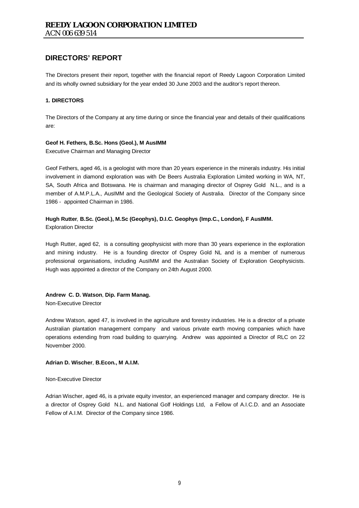The Directors present their report, together with the financial report of Reedy Lagoon Corporation Limited and its wholly owned subsidiary for the year ended 30 June 2003 and the auditor's report thereon.

#### **1. DIRECTORS**

The Directors of the Company at any time during or since the financial year and details of their qualifications are:

#### **Geof H. Fethers***,* **B.Sc. Hons (Geol.), M AusIMM**

Executive Chairman and Managing Director

Geof Fethers, aged 46, is a geologist with more than 20 years experience in the minerals industry. His initial involvement in diamond exploration was with De Beers Australia Exploration Limited working in WA, NT, SA, South Africa and Botswana. He is chairman and managing director of Osprey Gold N.L., and is a member of A.M.P.L.A., AusIMM and the Geological Society of Australia. Director of the Company since 1986 - appointed Chairman in 1986.

# **Hugh Rutter***,* **B.Sc. (Geol.), M.Sc (Geophys), D.I.C. Geophys (Imp.C., London), F AusIMM.**

Exploration Director

Hugh Rutter, aged 62, is a consulting geophysicist with more than 30 years experience in the exploration and mining industry. He is a founding director of Osprey Gold NL and is a member of numerous professional organisations, including AusIMM and the Australian Society of Exploration Geophysicists. Hugh was appointed a director of the Company on 24th August 2000.

### **Andrew C. D. Watson**, **Dip. Farm Manag.**

Non-Executive Director

Andrew Watson, aged 47, is involved in the agriculture and forestry industries. He is a director of a private Australian plantation management company and various private earth moving companies which have operations extending from road building to quarrying. Andrew was appointed a Director of RLC on 22 November 2000.

#### **Adrian D. Wischer**, **B.Econ., M A.I.M.**

Non-Executive Director

Adrian Wischer, aged 46, is a private equity investor, an experienced manager and company director. He is a director of Osprey Gold N.L. and National Golf Holdings Ltd, a Fellow of A.I.C.D. and an Associate Fellow of A.I.M. Director of the Company since 1986.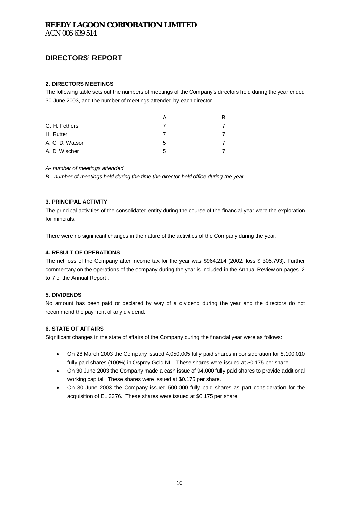#### **2. DIRECTORS MEETINGS**

The following table sets out the numbers of meetings of the Company's directors held during the year ended 30 June 2003, and the number of meetings attended by each director.

|                 |   | R |
|-----------------|---|---|
| G. H. Fethers   |   |   |
| H. Rutter       |   |   |
| A. C. D. Watson | 5 |   |
| A. D. Wischer   | 5 |   |

#### *A- number of meetings attended*

*B - number of meetings held during the time the director held office during the year* 

#### **3. PRINCIPAL ACTIVITY**

The principal activities of the consolidated entity during the course of the financial year were the exploration for minerals.

There were no significant changes in the nature of the activities of the Company during the year.

#### **4. RESULT OF OPERATIONS**

The net loss of the Company after income tax for the year was \$964,214 (2002: loss \$ 305,793). Further commentary on the operations of the company during the year is included in the Annual Review on pages 2 to 7 of the Annual Report .

#### **5. DIVIDENDS**

No amount has been paid or declared by way of a dividend during the year and the directors do not recommend the payment of any dividend.

#### **6. STATE OF AFFAIRS**

Significant changes in the state of affairs of the Company during the financial year were as follows:

- On 28 March 2003 the Company issued 4,050,005 fully paid shares in consideration for 8,100,010 fully paid shares (100%) in Osprey Gold NL. These shares were issued at \$0.175 per share.
- On 30 June 2003 the Company made a cash issue of 94,000 fully paid shares to provide additional working capital. These shares were issued at \$0.175 per share.
- On 30 June 2003 the Company issued 500,000 fully paid shares as part consideration for the acquisition of EL 3376. These shares were issued at \$0.175 per share.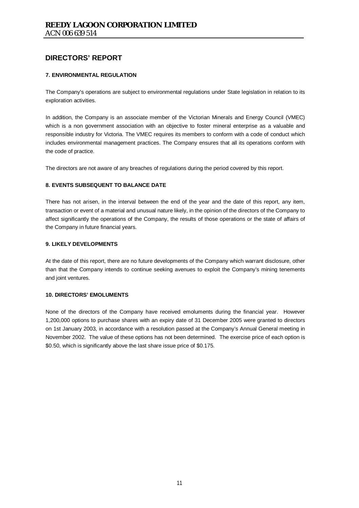### **7. ENVIRONMENTAL REGULATION**

The Company's operations are subject to environmental regulations under State legislation in relation to its exploration activities.

In addition, the Company is an associate member of the Victorian Minerals and Energy Council (VMEC) which is a non government association with an objective to foster mineral enterprise as a valuable and responsible industry for Victoria. The VMEC requires its members to conform with a code of conduct which includes environmental management practices. The Company ensures that all its operations conform with the code of practice.

The directors are not aware of any breaches of regulations during the period covered by this report.

#### **8. EVENTS SUBSEQUENT TO BALANCE DATE**

There has not arisen, in the interval between the end of the year and the date of this report, any item, transaction or event of a material and unusual nature likely, in the opinion of the directors of the Company to affect significantly the operations of the Company, the results of those operations or the state of affairs of the Company in future financial years.

#### **9. LIKELY DEVELOPMENTS**

At the date of this report, there are no future developments of the Company which warrant disclosure, other than that the Company intends to continue seeking avenues to exploit the Company's mining tenements and joint ventures.

#### **10. DIRECTORS' EMOLUMENTS**

None of the directors of the Company have received emoluments during the financial year. However 1,200,000 options to purchase shares with an expiry date of 31 December 2005 were granted to directors on 1st January 2003, in accordance with a resolution passed at the Company's Annual General meeting in November 2002. The value of these options has not been determined. The exercise price of each option is \$0.50, which is significantly above the last share issue price of \$0.175.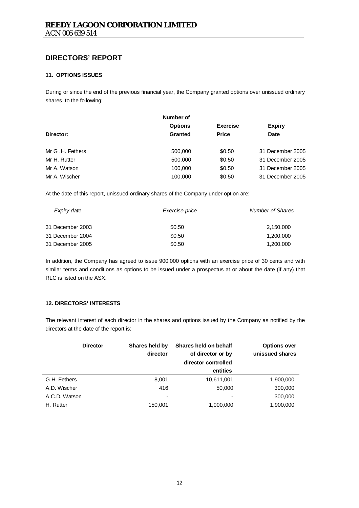### **11. OPTIONS ISSUES**

During or since the end of the previous financial year, the Company granted options over unissued ordinary shares to the following:

|                  | Number of      |                 |                  |
|------------------|----------------|-----------------|------------------|
|                  | <b>Options</b> | <b>Exercise</b> | <b>Expiry</b>    |
| Director:        | <b>Granted</b> | <b>Price</b>    | <b>Date</b>      |
| Mr G .H. Fethers | 500,000        | \$0.50          | 31 December 2005 |
| Mr H. Rutter     | 500,000        | \$0.50          | 31 December 2005 |
| Mr A. Watson     | 100,000        | \$0.50          | 31 December 2005 |
| Mr A. Wischer    | 100,000        | \$0.50          | 31 December 2005 |

At the date of this report, unissued ordinary shares of the Company under option are:

| Expiry date      | Exercise price | <b>Number of Shares</b> |
|------------------|----------------|-------------------------|
| 31 December 2003 | \$0.50         | 2,150,000               |
| 31 December 2004 | \$0.50         | 1,200,000               |
| 31 December 2005 | \$0.50         | 1,200,000               |

In addition, the Company has agreed to issue 900,000 options with an exercise price of 30 cents and with similar terms and conditions as options to be issued under a prospectus at or about the date (if any) that RLC is listed on the ASX.

### **12. DIRECTORS' INTERESTS**

The relevant interest of each director in the shares and options issued by the Company as notified by the directors at the date of the report is:

|               | <b>Director</b> | Shares held by<br>director | Shares held on behalf<br>of director or by<br>director controlled | <b>Options over</b><br>unissued shares |
|---------------|-----------------|----------------------------|-------------------------------------------------------------------|----------------------------------------|
|               |                 |                            | entities                                                          |                                        |
| G.H. Fethers  |                 | 8,001                      | 10,611,001                                                        | 1,900,000                              |
| A.D. Wischer  |                 | 416                        | 50,000                                                            | 300,000                                |
| A.C.D. Watson |                 | -                          |                                                                   | 300,000                                |
| H. Rutter     |                 | 150,001                    | 1,000,000                                                         | 1,900,000                              |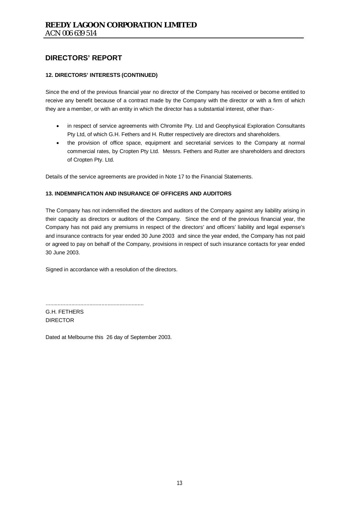### **12. DIRECTORS' INTERESTS (CONTINUED)**

Since the end of the previous financial year no director of the Company has received or become entitled to receive any benefit because of a contract made by the Company with the director or with a firm of which they are a member, or with an entity in which the director has a substantial interest, other than:-

- in respect of service agreements with Chromite Pty. Ltd and Geophysical Exploration Consultants Pty Ltd, of which G.H. Fethers and H. Rutter respectively are directors and shareholders.
- the provision of office space, equipment and secretarial services to the Company at normal commercial rates, by Cropten Pty Ltd. Messrs. Fethers and Rutter are shareholders and directors of Cropten Pty. Ltd.

Details of the service agreements are provided in Note 17 to the Financial Statements.

#### **13. INDEMNIFICATION AND INSURANCE OF OFFICERS AND AUDITORS**

The Company has not indemnified the directors and auditors of the Company against any liability arising in their capacity as directors or auditors of the Company. Since the end of the previous financial year, the Company has not paid any premiums in respect of the directors' and officers' liability and legal expense's and insurance contracts for year ended 30 June 2003 and since the year ended, the Company has not paid or agreed to pay on behalf of the Company, provisions in respect of such insurance contacts for year ended 30 June 2003.

Signed in accordance with a resolution of the directors.

G.H. FETHERS DIRECTOR

Dated at Melbourne this 26 day of September 2003.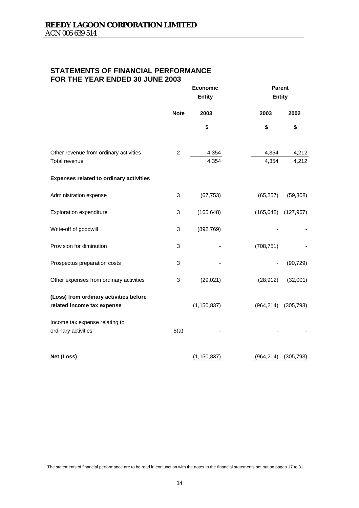## **STATEMENTS OF FINANCIAL PERFORMANCE FOR THE YEAR ENDED 30 JUNE 2003**

|                                                                      | Economic<br><b>Entity</b> |               |            |            |  | <b>Parent</b><br><b>Entity</b> |
|----------------------------------------------------------------------|---------------------------|---------------|------------|------------|--|--------------------------------|
|                                                                      | <b>Note</b>               | 2003          | 2003       | 2002       |  |                                |
|                                                                      |                           | \$            | \$         | \$         |  |                                |
| Other revenue from ordinary activities                               | $\overline{c}$            | 4,354         | 4,354      | 4,212      |  |                                |
| Total revenue                                                        |                           | 4,354         | 4,354      | 4,212      |  |                                |
| <b>Expenses related to ordinary activities</b>                       |                           |               |            |            |  |                                |
| Administration expense                                               | 3                         | (67, 753)     | (65, 257)  | (59, 308)  |  |                                |
| <b>Exploration expenditure</b>                                       | 3                         | (165, 648)    | (165, 648) | (127, 967) |  |                                |
| Write-off of goodwill                                                | 3                         | (892, 769)    |            |            |  |                                |
| Provision for diminution                                             | 3                         |               | (708, 751) |            |  |                                |
| Prospectus preparation costs                                         | 3                         |               |            | (90, 729)  |  |                                |
| Other expenses from ordinary activities                              | 3                         | (29, 021)     | (28, 912)  | (32,001)   |  |                                |
| (Loss) from ordinary activities before<br>related income tax expense |                           | (1, 150, 837) | (964, 214) | (305, 793) |  |                                |
| Income tax expense relating to<br>ordinary activities                | 5(a)                      |               |            |            |  |                                |
| Net (Loss)                                                           |                           | (1, 150, 837) | (964, 214) | (305, 793) |  |                                |

The statements of financial performance are to be read in conjunction with the notes to the financial statements set out on pages 17 to 31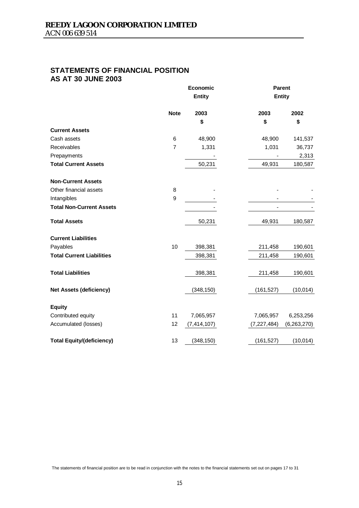## **STATEMENTS OF FINANCIAL POSITION AS AT 30 JUNE 2003**

|                                  |                | Economic      |               | <b>Parent</b> |
|----------------------------------|----------------|---------------|---------------|---------------|
|                                  |                | Entity        |               | <b>Entity</b> |
|                                  | <b>Note</b>    | 2003          | 2003          | 2002          |
|                                  |                | \$            | \$            | \$            |
| <b>Current Assets</b>            |                |               |               |               |
| Cash assets                      | 6              | 48,900        | 48,900        | 141,537       |
| Receivables                      | $\overline{7}$ | 1,331         | 1,031         | 36,737        |
| Prepayments                      |                |               |               | 2,313         |
| <b>Total Current Assets</b>      |                | 50,231        | 49,931        | 180,587       |
| <b>Non-Current Assets</b>        |                |               |               |               |
| Other financial assets           | 8              |               |               |               |
| Intangibles                      | 9              |               |               |               |
| <b>Total Non-Current Assets</b>  |                |               |               |               |
| <b>Total Assets</b>              |                | 50,231        | 49,931        | 180,587       |
| <b>Current Liabilities</b>       |                |               |               |               |
| Payables                         | 10             | 398,381       | 211,458       | 190,601       |
| <b>Total Current Liabilities</b> |                | 398,381       | 211,458       | 190,601       |
| <b>Total Liabilities</b>         |                | 398,381       | 211,458       | 190,601       |
| <b>Net Assets (deficiency)</b>   |                | (348, 150)    | (161, 527)    | (10, 014)     |
| <b>Equity</b>                    |                |               |               |               |
| Contributed equity               | 11             | 7,065,957     | 7,065,957     | 6,253,256     |
| Accumulated (losses)             | 12             | (7, 414, 107) | (7, 227, 484) | (6,263,270)   |
| <b>Total Equity/(deficiency)</b> | 13             | (348, 150)    | (161, 527)    | (10, 014)     |

The statements of financial position are to be read in conjunction with the notes to the financial statements set out on pages 17 to 31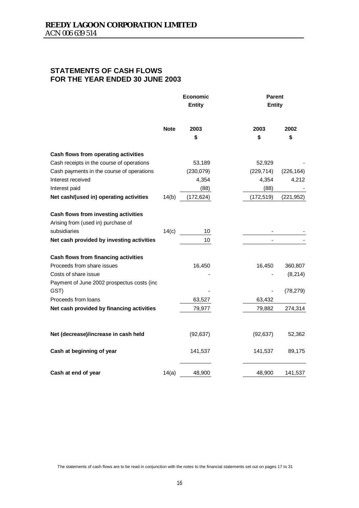## **STATEMENTS OF CASH FLOWS FOR THE YEAR ENDED 30 JUNE 2003**

|                                            | <b>Economic</b><br><b>Entity</b> |            | <b>Parent</b><br><b>Entity</b> |            |            |
|--------------------------------------------|----------------------------------|------------|--------------------------------|------------|------------|
|                                            | <b>Note</b>                      | 2003       |                                | 2003       | 2002       |
|                                            |                                  | \$         |                                | \$         | \$         |
| Cash flows from operating activities       |                                  |            |                                |            |            |
| Cash receipts in the course of operations  |                                  | 53,189     |                                | 52,929     |            |
| Cash payments in the course of operations  |                                  | (230, 079) |                                | (229, 714) | (226, 164) |
| Interest received                          |                                  | 4,354      |                                | 4,354      | 4,212      |
| Interest paid                              |                                  | (88)       |                                | (88)       |            |
| Net cash/(used in) operating activities    | 14(b)                            | (172, 624) |                                | (172, 519) | (221, 952) |
| Cash flows from investing activities       |                                  |            |                                |            |            |
| Arising from (used in) purchase of         |                                  |            |                                |            |            |
| subsidiaries                               | 14(c)                            | 10         |                                |            |            |
| Net cash provided by investing activities  |                                  | 10         |                                |            |            |
| Cash flows from financing activities       |                                  |            |                                |            |            |
| Proceeds from share issues                 |                                  | 16,450     |                                | 16,450     | 360,807    |
| Costs of share issue                       |                                  |            |                                |            | (8, 214)   |
| Payment of June 2002 prospectus costs (inc |                                  |            |                                |            |            |
| GST)                                       |                                  |            |                                |            | (78, 279)  |
| Proceeds from loans                        |                                  | 63,527     |                                | 63,432     |            |
| Net cash provided by financing activities  |                                  | 79,977     |                                | 79,882     | 274,314    |
|                                            |                                  |            |                                |            |            |
| Net (decrease)/increase in cash held       |                                  | (92, 637)  |                                | (92, 637)  | 52,362     |
| Cash at beginning of year                  |                                  | 141,537    |                                | 141,537    | 89,175     |
| Cash at end of year                        | 14(a)                            | 48,900     |                                | 48,900     | 141,537    |

The statements of cash flows are to be read in conjunction with the notes to the financial statements set out on pages 17 to 31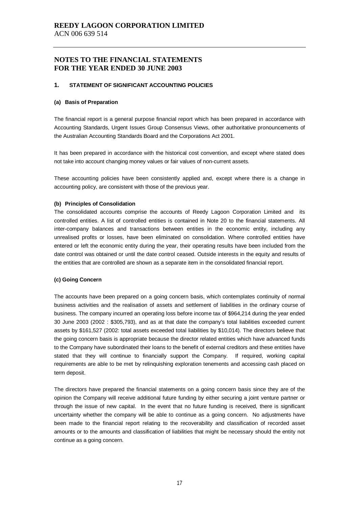#### **1. STATEMENT OF SIGNIFICANT ACCOUNTING POLICIES**

#### **(a) Basis of Preparation**

The financial report is a general purpose financial report which has been prepared in accordance with Accounting Standards, Urgent Issues Group Consensus Views, other authoritative pronouncements of the Australian Accounting Standards Board and the Corporations Act 2001.

It has been prepared in accordance with the historical cost convention, and except where stated does not take into account changing money values or fair values of non-current assets.

These accounting policies have been consistently applied and, except where there is a change in accounting policy, are consistent with those of the previous year.

#### **(b) Principles of Consolidation**

The consolidated accounts comprise the accounts of Reedy Lagoon Corporation Limited and its controlled entities. A list of controlled entities is contained in Note 20 to the financial statements. All inter-company balances and transactions between entities in the economic entity, including any unrealised profits or losses, have been eliminated on consolidation. Where controlled entities have entered or left the economic entity during the year, their operating results have been included from the date control was obtained or until the date control ceased. Outside interests in the equity and results of the entities that are controlled are shown as a separate item in the consolidated financial report.

#### **(c) Going Concern**

The accounts have been prepared on a going concern basis, which contemplates continuity of normal business activities and the realisation of assets and settlement of liabilities in the ordinary course of business. The company incurred an operating loss before income tax of \$964,214 during the year ended 30 June 2003 (2002 : \$305,793), and as at that date the company's total liabilities exceeded current assets by \$161,527 (2002: total assets exceeded total liabilities by \$10,014). The directors believe that the going concern basis is appropriate because the director related entities which have advanced funds to the Company have subordinated their loans to the benefit of external creditors and these entities have stated that they will continue to financially support the Company. If required, working capital requirements are able to be met by relinquishing exploration tenements and accessing cash placed on term deposit.

The directors have prepared the financial statements on a going concern basis since they are of the opinion the Company will receive additional future funding by either securing a joint venture partner or through the issue of new capital. In the event that no future funding is received, there is significant uncertainty whether the company will be able to continue as a going concern. No adjustments have been made to the financial report relating to the recoverability and classification of recorded asset amounts or to the amounts and classification of liabilities that might be necessary should the entity not continue as a going concern.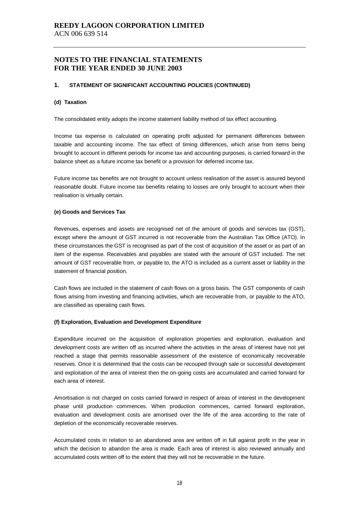#### **1. STATEMENT OF SIGNIFICANT ACCOUNTING POLICIES (CONTINUED)**

#### **(d) Taxation**

The consolidated entity adopts the income statement liability method of tax effect accounting.

Income tax expense is calculated on operating profit adjusted for permanent differences between taxable and accounting income. The tax effect of timing differences, which arise from items being brought to account in different periods for income tax and accounting purposes, is carried forward in the balance sheet as a future income tax benefit or a provision for deferred income tax.

Future income tax benefits are not brought to account unless realisation of the asset is assured beyond reasonable doubt. Future income tax benefits relating to losses are only brought to account when their realisation is virtually certain.

#### **(e) Goods and Services Tax**

Revenues, expenses and assets are recognised net of the amount of goods and services tax (GST), except where the amount of GST incurred is not recoverable from the Australian Tax Office (ATO). In these circumstances the GST is recognised as part of the cost of acquisition of the asset or as part of an item of the expense. Receivables and payables are stated with the amount of GST included. The net amount of GST recoverable from, or payable to, the ATO is included as a current asset or liability in the statement of financial position.

Cash flows are included in the statement of cash flows on a gross basis. The GST components of cash flows arising from investing and financing activities, which are recoverable from, or payable to the ATO, are classified as operating cash flows.

#### **(f) Exploration, Evaluation and Development Expenditure**

Expenditure incurred on the acquisition of exploration properties and exploration, evaluation and development costs are written off as incurred where the activities in the areas of interest have not yet reached a stage that permits reasonable assessment of the existence of economically recoverable reserves. Once it is determined that the costs can be recouped through sale or successful development and exploitation of the area of interest then the on-going costs are accumulated and carried forward for each area of interest.

Amortisation is not charged on costs carried forward in respect of areas of interest in the development phase until production commences. When production commences, carried forward exploration, evaluation and development costs are amortised over the life of the area according to the rate of depletion of the economically recoverable reserves.

Accumulated costs in relation to an abandoned area are written off in full against profit in the year in which the decision to abandon the area is made. Each area of interest is also reviewed annually and accumulated costs written off to the extent that they will not be recoverable in the future.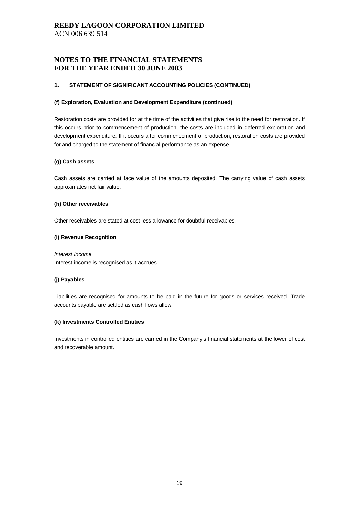#### **1. STATEMENT OF SIGNIFICANT ACCOUNTING POLICIES (CONTINUED)**

#### **(f) Exploration, Evaluation and Development Expenditure (continued)**

Restoration costs are provided for at the time of the activities that give rise to the need for restoration. If this occurs prior to commencement of production, the costs are included in deferred exploration and development expenditure. If it occurs after commencement of production, restoration costs are provided for and charged to the statement of financial performance as an expense.

#### **(g) Cash assets**

Cash assets are carried at face value of the amounts deposited. The carrying value of cash assets approximates net fair value.

#### **(h) Other receivables**

Other receivables are stated at cost less allowance for doubtful receivables.

#### **(i) Revenue Recognition**

*Interest Income*  Interest income is recognised as it accrues.

#### **(j) Payables**

Liabilities are recognised for amounts to be paid in the future for goods or services received. Trade accounts payable are settled as cash flows allow.

#### **(k) Investments Controlled Entities**

Investments in controlled entities are carried in the Company's financial statements at the lower of cost and recoverable amount.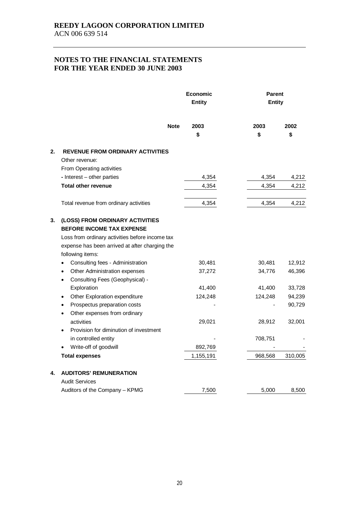|    |                                                                                                                                                                                                                                               |             | Economic<br><b>Entity</b> |            | <b>Parent</b><br><b>Entity</b> |                  |
|----|-----------------------------------------------------------------------------------------------------------------------------------------------------------------------------------------------------------------------------------------------|-------------|---------------------------|------------|--------------------------------|------------------|
|    |                                                                                                                                                                                                                                               | <b>Note</b> | 2003<br>\$                | 2003<br>\$ |                                | 2002<br>\$       |
| 2. | <b>REVENUE FROM ORDINARY ACTIVITIES</b><br>Other revenue:<br>From Operating activities                                                                                                                                                        |             |                           |            |                                |                  |
|    | - Interest - other parties                                                                                                                                                                                                                    |             | 4,354                     | 4,354      |                                | 4,212            |
|    | <b>Total other revenue</b>                                                                                                                                                                                                                    |             | 4,354                     | 4,354      |                                | 4,212            |
|    | Total revenue from ordinary activities                                                                                                                                                                                                        |             | 4,354                     | 4,354      |                                | 4,212            |
| 3. | (LOSS) FROM ORDINARY ACTIVITIES<br><b>BEFORE INCOME TAX EXPENSE</b><br>Loss from ordinary activities before income tax<br>expense has been arrived at after charging the<br>following items:<br>Consulting fees - Administration<br>$\bullet$ |             | 30,481                    | 30,481     |                                | 12,912           |
|    | Other Administration expenses<br>$\bullet$<br>Consulting Fees (Geophysical) -<br>$\bullet$                                                                                                                                                    |             | 37,272                    | 34,776     |                                | 46,396           |
|    | Exploration                                                                                                                                                                                                                                   |             | 41,400                    | 41,400     |                                | 33,728           |
|    | Other Exploration expenditure<br>$\bullet$<br>Prospectus preparation costs<br>٠<br>Other expenses from ordinary<br>$\bullet$                                                                                                                  |             | 124,248                   | 124,248    |                                | 94,239<br>90,729 |
|    | activities<br>Provision for diminution of investment<br>$\bullet$                                                                                                                                                                             |             | 29,021                    | 28,912     |                                | 32,001           |
|    | in controlled entity<br>Write-off of goodwill                                                                                                                                                                                                 |             | 892,769                   | 708,751    |                                |                  |
|    | <b>Total expenses</b>                                                                                                                                                                                                                         |             | 1,155,191                 | 968,568    |                                | 310,005          |
| 4. | <b>AUDITORS' REMUNERATION</b><br><b>Audit Services</b>                                                                                                                                                                                        |             |                           |            |                                |                  |
|    | Auditors of the Company - KPMG                                                                                                                                                                                                                |             | 7,500                     | 5,000      |                                | 8,500            |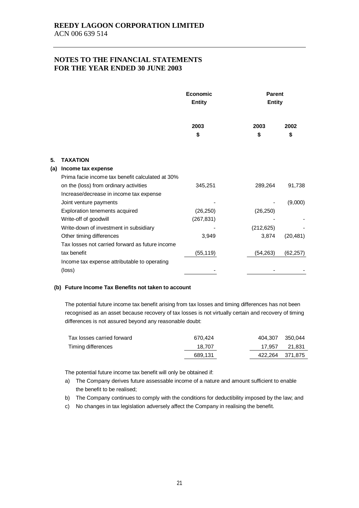|     |                                                  | Economic<br><b>Entity</b> |            | <b>Parent</b><br><b>Entity</b> |  |
|-----|--------------------------------------------------|---------------------------|------------|--------------------------------|--|
|     |                                                  | 2003<br>\$                | 2003<br>\$ | 2002<br>\$                     |  |
| 5.  | <b>TAXATION</b>                                  |                           |            |                                |  |
| (a) | Income tax expense                               |                           |            |                                |  |
|     | Prima facie income tax benefit calculated at 30% |                           |            |                                |  |
|     | on the (loss) from ordinary activities           | 345,251                   | 289,264    | 91,738                         |  |
|     | Increase/decrease in income tax expense          |                           |            |                                |  |
|     | Joint venture payments                           |                           |            | (9,000)                        |  |
|     | Exploration tenements acquired                   | (26, 250)                 | (26, 250)  |                                |  |
|     | Write-off of goodwill                            | (267, 831)                |            |                                |  |
|     | Write-down of investment in subsidiary           |                           | (212, 625) |                                |  |
|     | Other timing differences                         | 3,949                     | 3,874      | (20, 481)                      |  |
|     | Tax losses not carried forward as future income  |                           |            |                                |  |
|     | tax benefit                                      | (55, 119)                 | (54, 263)  | (62, 257)                      |  |
|     | Income tax expense attributable to operating     |                           |            |                                |  |
|     | (loss)                                           |                           |            |                                |  |

#### **(b) Future Income Tax Benefits not taken to account**

The potential future income tax benefit arising from tax losses and timing differences has not been recognised as an asset because recovery of tax losses is not virtually certain and recovery of timing differences is not assured beyond any reasonable doubt:

| Tax losses carried forward | 670.424 | 404.307 350.044 |        |
|----------------------------|---------|-----------------|--------|
| Timing differences         | 18.707  | 17.957          | 21.831 |
|                            | 689.131 | 422,264 371,875 |        |

The potential future income tax benefit will only be obtained if:

- a) The Company derives future assessable income of a nature and amount sufficient to enable the benefit to be realised;
- b) The Company continues to comply with the conditions for deductibility imposed by the law; and
- c) No changes in tax legislation adversely affect the Company in realising the benefit.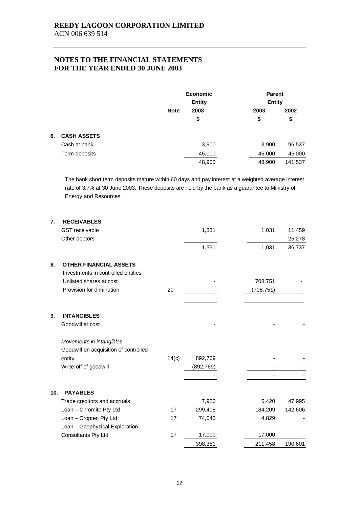|    |                    |                     | <b>Economic</b><br><b>Entity</b> |        | <b>Parent</b><br><b>Entity</b> |
|----|--------------------|---------------------|----------------------------------|--------|--------------------------------|
|    |                    | <b>Note</b><br>2003 |                                  | 2003   | 2002                           |
|    |                    | \$                  |                                  | \$     | \$                             |
| 6. | <b>CASH ASSETS</b> |                     |                                  |        |                                |
|    | Cash at bank       |                     | 3,900                            | 3,900  | 96,537                         |
|    | Term deposits      |                     | 45,000                           | 45,000 | 45,000                         |
|    |                    |                     | 48,900                           | 48,900 | 141,537                        |

The bank short term deposits mature within 60 days and pay interest at a weighted average interest rate of 3.7% at 30 June 2003. These deposits are held by the bank as a guarantee to Ministry of Energy and Resources.

| 7.  | <b>RECEIVABLES</b>                    |       |            |            |         |
|-----|---------------------------------------|-------|------------|------------|---------|
|     | <b>GST</b> receivable                 |       | 1,331      | 1,031      | 11,459  |
|     | Other debtors                         |       |            |            | 25,278  |
|     |                                       |       | 1,331      | 1,031      | 36,737  |
| 8.  | <b>OTHER FINANCIAL ASSETS</b>         |       |            |            |         |
|     | Investments in controlled entities    |       |            |            |         |
|     | Unlisted shares at cost               |       |            | 708,751    |         |
|     | Provision for diminution              | 20    |            | (708, 751) |         |
|     |                                       |       |            |            |         |
| 9.  | <b>INTANGIBLES</b>                    |       |            |            |         |
|     | Goodwill at cost                      |       |            |            |         |
|     | Movements in intangibles              |       |            |            |         |
|     | Goodwill on acquisition of controlled |       |            |            |         |
|     | entity                                | 14(c) | 892,769    |            |         |
|     | Write-off of goodwill                 |       | (892, 769) |            |         |
|     |                                       |       |            |            |         |
| 10. | <b>PAYABLES</b>                       |       |            |            |         |
|     | Trade creditors and accruals          |       | 7,920      | 5,420      | 47,995  |
|     | Loan - Chromite Pty Ltd               | 17    | 299,418    | 184,209    | 142,606 |
|     | Loan - Cropten Pty Ltd                | 17    | 74,043     | 4,829      |         |
|     | Loan - Geophysical Exploration        |       |            |            |         |
|     | <b>Consultants Pty Ltd</b>            | 17    | 17,000     | 17,000     |         |
|     |                                       |       | 398,381    | 211,458    | 190,601 |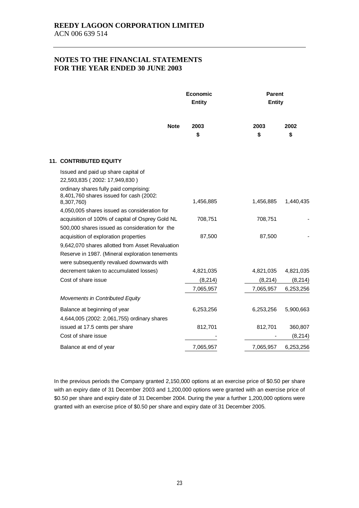|                                                                                                 | <b>Economic</b><br><b>Entity</b> | <b>Parent</b><br><b>Entity</b> |            |  |
|-------------------------------------------------------------------------------------------------|----------------------------------|--------------------------------|------------|--|
| <b>Note</b>                                                                                     | 2003<br>\$                       | 2003<br>\$                     | 2002<br>\$ |  |
| <b>11. CONTRIBUTED EQUITY</b>                                                                   |                                  |                                |            |  |
| Issued and paid up share capital of                                                             |                                  |                                |            |  |
| 22,593,835 (2002: 17,949,830)                                                                   |                                  |                                |            |  |
| ordinary shares fully paid comprising:<br>8,401,760 shares issued for cash (2002:<br>8,307,760) | 1,456,885                        | 1,456,885                      | 1,440,435  |  |
| 4,050,005 shares issued as consideration for                                                    |                                  |                                |            |  |
| acquisition of 100% of capital of Osprey Gold NL                                                | 708,751                          | 708,751                        |            |  |
| 500,000 shares issued as consideration for the                                                  |                                  |                                |            |  |
| acquisition of exploration properties                                                           | 87,500                           | 87,500                         |            |  |
| 9,642,070 shares allotted from Asset Revaluation                                                |                                  |                                |            |  |
| Reserve in 1987. (Mineral exploration tenements<br>were subsequently revalued downwards with    |                                  |                                |            |  |
| decrement taken to accumulated losses)                                                          | 4,821,035                        | 4,821,035                      | 4,821,035  |  |
| Cost of share issue                                                                             | (8, 214)                         | (8, 214)                       | (8, 214)   |  |
|                                                                                                 | 7,065,957                        | 7,065,957                      | 6,253,256  |  |
| <b>Movements in Contributed Equity</b>                                                          |                                  |                                |            |  |
| Balance at beginning of year                                                                    | 6,253,256                        | 6,253,256                      | 5,900,663  |  |
| 4,644,005 (2002: 2,061,755) ordinary shares                                                     |                                  |                                |            |  |
| issued at 17.5 cents per share                                                                  | 812,701                          | 812,701                        | 360,807    |  |
| Cost of share issue                                                                             |                                  |                                | (8, 214)   |  |
| Balance at end of year                                                                          | 7,065,957                        | 7,065,957                      | 6,253,256  |  |

In the previous periods the Company granted 2,150,000 options at an exercise price of \$0.50 per share with an expiry date of 31 December 2003 and 1,200,000 options were granted with an exercise price of \$0.50 per share and expiry date of 31 December 2004. During the year a further 1,200,000 options were granted with an exercise price of \$0.50 per share and expiry date of 31 December 2005.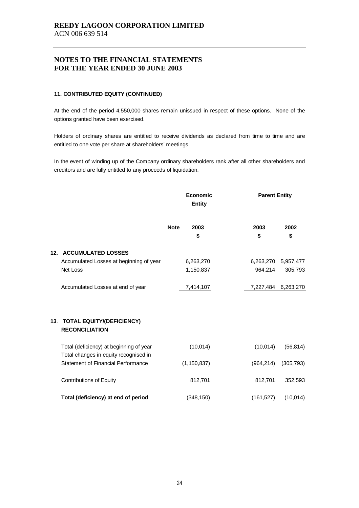#### **11. CONTRIBUTED EQUITY (CONTINUED)**

At the end of the period 4,550,000 shares remain unissued in respect of these options. None of the options granted have been exercised.

Holders of ordinary shares are entitled to receive dividends as declared from time to time and are entitled to one vote per share at shareholders' meetings.

In the event of winding up of the Company ordinary shareholders rank after all other shareholders and creditors and are fully entitled to any proceeds of liquidation.

|     |                                                                                  | <b>Economic</b><br><b>Entity</b> |               | <b>Parent Entity</b> |            |  |
|-----|----------------------------------------------------------------------------------|----------------------------------|---------------|----------------------|------------|--|
|     |                                                                                  | <b>Note</b>                      | 2003<br>\$    | 2003<br>\$           | 2002<br>\$ |  |
| 12. | <b>ACCUMULATED LOSSES</b>                                                        |                                  |               |                      |            |  |
|     | Accumulated Losses at beginning of year                                          |                                  | 6,263,270     | 6,263,270            | 5,957,477  |  |
|     | Net Loss                                                                         |                                  | 1,150,837     | 964,214              | 305,793    |  |
|     | Accumulated Losses at end of year                                                |                                  | 7,414,107     | 7,227,484            | 6,263,270  |  |
| 13. | <b>TOTAL EQUITY/(DEFICIENCY)</b><br><b>RECONCILIATION</b>                        |                                  |               |                      |            |  |
|     | Total (deficiency) at beginning of year<br>Total changes in equity recognised in |                                  | (10,014)      | (10, 014)            | (56, 814)  |  |
|     | <b>Statement of Financial Performance</b>                                        |                                  | (1, 150, 837) | (964, 214)           | (305, 793) |  |
|     | <b>Contributions of Equity</b>                                                   |                                  | 812,701       | 812,701              | 352,593    |  |
|     | Total (deficiency) at end of period                                              |                                  | (348, 150)    | (161, 527)           | (10, 014)  |  |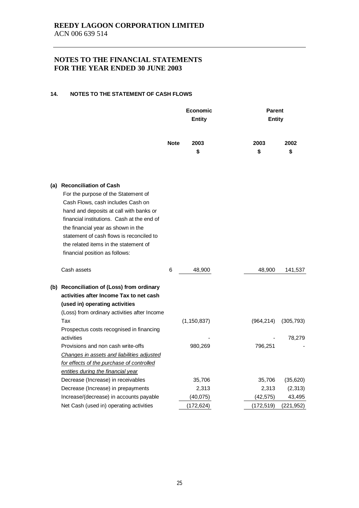#### **14. NOTES TO THE STATEMENT OF CASH FLOWS**

|                                                                                                                                                                                                                                                                                                                                                              |             | <b>Economic</b><br><b>Entity</b> |  | <b>Parent</b><br><b>Entity</b> |            |
|--------------------------------------------------------------------------------------------------------------------------------------------------------------------------------------------------------------------------------------------------------------------------------------------------------------------------------------------------------------|-------------|----------------------------------|--|--------------------------------|------------|
|                                                                                                                                                                                                                                                                                                                                                              | <b>Note</b> | 2003<br>\$                       |  | 2003<br>\$                     | 2002<br>\$ |
| (a) Reconciliation of Cash<br>For the purpose of the Statement of<br>Cash Flows, cash includes Cash on<br>hand and deposits at call with banks or<br>financial institutions. Cash at the end of<br>the financial year as shown in the<br>statement of cash flows is reconciled to<br>the related items in the statement of<br>financial position as follows: |             |                                  |  |                                |            |
| Cash assets                                                                                                                                                                                                                                                                                                                                                  | 6           | 48,900                           |  | 48,900                         | 141,537    |
| (b) Reconciliation of (Loss) from ordinary<br>activities after Income Tax to net cash<br>(used in) operating activities<br>(Loss) from ordinary activities after Income                                                                                                                                                                                      |             |                                  |  |                                |            |
| Tax<br>Prospectus costs recognised in financing                                                                                                                                                                                                                                                                                                              |             | (1, 150, 837)                    |  | (964, 214)                     | (305, 793) |
| activities<br>Provisions and non cash write-offs<br>Changes in assets and liabilities adjusted<br>for effects of the purchase of controlled<br>entities during the financial year                                                                                                                                                                            |             | 980,269                          |  | 796,251                        | 78,279     |
| Decrease (Increase) in receivables                                                                                                                                                                                                                                                                                                                           |             | 35,706                           |  | 35,706                         | (35,620)   |
| Decrease (Increase) in prepayments                                                                                                                                                                                                                                                                                                                           |             | 2,313                            |  | 2,313                          | (2, 313)   |
| Increase/(decrease) in accounts payable                                                                                                                                                                                                                                                                                                                      |             | (40,075)                         |  | (42, 575)                      | 43,495     |
| Net Cash (used in) operating activities                                                                                                                                                                                                                                                                                                                      |             | (172, 624)                       |  | (172, 519)                     | (221, 952) |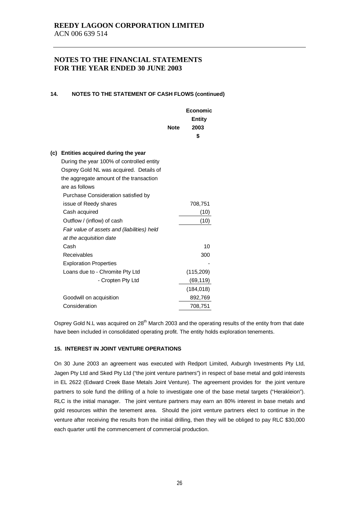#### **14. NOTES TO THE STATEMENT OF CASH FLOWS (continued)**

|     |                                             |             | Economic              |  |
|-----|---------------------------------------------|-------------|-----------------------|--|
|     |                                             | <b>Note</b> | <b>Entity</b><br>2003 |  |
|     |                                             |             | \$                    |  |
|     |                                             |             |                       |  |
| (c) | Entities acquired during the year           |             |                       |  |
|     | During the year 100% of controlled entity   |             |                       |  |
|     | Osprey Gold NL was acquired. Details of     |             |                       |  |
|     | the aggregate amount of the transaction     |             |                       |  |
|     | are as follows                              |             |                       |  |
|     | Purchase Consideration satisfied by         |             |                       |  |
|     | issue of Reedy shares                       |             | 708,751               |  |
|     | Cash acquired                               |             | (10)                  |  |
|     | Outflow / (inflow) of cash                  |             | (10)                  |  |
|     | Fair value of assets and (liabilities) held |             |                       |  |
|     | at the acquisition date                     |             |                       |  |
|     | Cash                                        |             | 10                    |  |
|     | Receivables                                 |             | 300                   |  |
|     | <b>Exploration Properties</b>               |             |                       |  |
|     | Loans due to - Chromite Pty Ltd             |             | (115, 209)            |  |
|     | - Cropten Pty Ltd                           |             | (69, 119)             |  |
|     |                                             |             | (184, 018)            |  |
|     | Goodwill on acquisition                     |             | 892,769               |  |
|     | Consideration                               |             | 708,751               |  |

Osprey Gold N.L was acquired on 28<sup>th</sup> March 2003 and the operating results of the entity from that date have been included in consolidated operating profit. The entity holds exploration tenements.

#### **15. INTEREST IN JOINT VENTURE OPERATIONS**

On 30 June 2003 an agreement was executed with Redport Limited, Axburgh Investments Pty Ltd, Jagen Pty Ltd and Sked Pty Ltd ("the joint venture partners") in respect of base metal and gold interests in EL 2622 (Edward Creek Base Metals Joint Venture). The agreement provides for the joint venture partners to sole fund the drilling of a hole to investigate one of the base metal targets ("Herakleion"). RLC is the initial manager. The joint venture partners may earn an 80% interest in base metals and gold resources within the tenement area. Should the joint venture partners elect to continue in the venture after receiving the results from the initial drilling, then they will be obliged to pay RLC \$30,000 each quarter until the commencement of commercial production.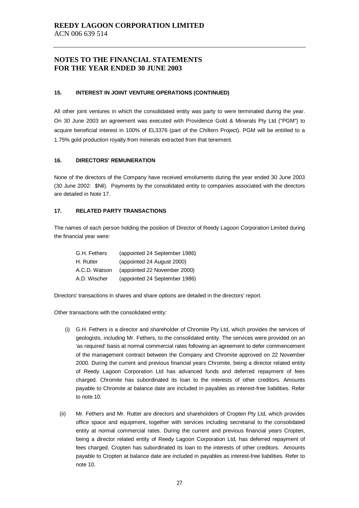#### **15. INTEREST IN JOINT VENTURE OPERATIONS (CONTINUED)**

All other joint ventures in which the consolidated entity was party to were terminated during the year. On 30 June 2003 an agreement was executed with Providence Gold & Minerals Pty Ltd ("PGM") to acquire beneficial interest in 100% of EL3376 (part of the Chiltern Project). PGM will be entitled to a 1.75% gold production royalty from minerals extracted from that tenement.

#### **16. DIRECTORS' REMUNERATION**

None of the directors of the Company have received emoluments during the year ended 30 June 2003 (30 June 2002: \$Nil). Payments by the consolidated entity to companies associated with the directors are detailed in Note 17.

#### **17. RELATED PARTY TRANSACTIONS**

The names of each person holding the position of Director of Reedy Lagoon Corporation Limited during the financial year were:

| G.H. Fethers  | (appointed 24 September 1986) |
|---------------|-------------------------------|
| H. Rutter     | (appointed 24 August 2000)    |
| A.C.D. Watson | (appointed 22 November 2000)  |
| A.D. Wischer  | (appointed 24 September 1986) |

Directors' transactions in shares and share options are detailed in the directors' report.

Other transactions with the consolidated entity:

- (i) G.H. Fethers is a director and shareholder of Chromite Pty Ltd, which provides the services of geologists, including Mr. Fethers, to the consolidated entity. The services were provided on an 'as required' basis at normal commercial rates following an agreement to defer commencement of the management contract between the Company and Chromite approved on 22 November 2000. During the current and previous financial years Chromite, being a director related entity of Reedy Lagoon Corporation Ltd has advanced funds and deferred repayment of fees charged. Chromite has subordinated its loan to the interests of other creditors. Amounts payable to Chromite at balance date are included in payables as interest-free liabilities. Refer to note 10.
- (ii) Mr. Fethers and Mr. Rutter are directors and shareholders of Cropten Pty Ltd, which provides office space and equipment, together with services including secretarial to the consolidated entity at normal commercial rates. During the current and previous financial years Cropten, being a director related entity of Reedy Lagoon Corporation Ltd, has deferred repayment of fees charged. Cropten has subordinated its loan to the interests of other creditors. Amounts payable to Cropten at balance date are included in payables as interest-free liabilities. Refer to note 10.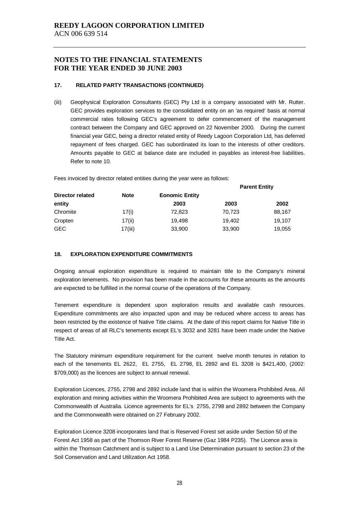#### **17. RELATED PARTY TRANSACTIONS (CONTINUED)**

(iii) Geophysical Exploration Consultants (GEC) Pty Ltd is a company associated with Mr. Rutter. GEC provides exploration services to the consolidated entity on an 'as required' basis at normal commercial rates following GEC's agreement to defer commencement of the management contract between the Company and GEC approved on 22 November 2000. During the current financial year GEC, being a director related entity of Reedy Lagoon Corporation Ltd, has deferred repayment of fees charged. GEC has subordinated its loan to the interests of other creditors. Amounts payable to GEC at balance date are included in payables as interest-free liabilities. Refer to note 10.

Fees invoiced by director related entities during the year were as follows:

|                  |         |        | <b>Parent Entity</b> |        |  |
|------------------|---------|--------|----------------------|--------|--|
| Director related |         |        |                      |        |  |
| entity           |         | 2003   | 2003                 | 2002   |  |
| Chromite         | 17(i)   | 72,823 | 70,723               | 88,167 |  |
| Cropten          | 17(ii)  | 19.498 | 19,402               | 19,107 |  |
| <b>GEC</b>       | 17(iii) | 33,900 | 33,900               | 19,055 |  |

### **18. EXPLORATION EXPENDITURE COMMITMENTS**

Ongoing annual exploration expenditure is required to maintain title to the Company's mineral exploration tenements. No provision has been made in the accounts for these amounts as the amounts are expected to be fulfilled in the normal course of the operations of the Company.

Tenement expenditure is dependent upon exploration results and available cash resources. Expenditure commitments are also impacted upon and may be reduced where access to areas has been restricted by the existence of Native Title claims. At the date of this report claims for Native Title in respect of areas of all RLC's tenements except EL's 3032 and 3281 have been made under the Native Title Act.

The Statutory minimum expenditure requirement for the current twelve month tenures in relation to each of the tenements EL 2622, EL 2755, EL 2798, EL 2892 and EL 3208 is \$421,400, (2002: \$709,000) as the licences are subject to annual renewal.

Exploration Licences, 2755, 2798 and 2892 include land that is within the Woomera Prohibited Area. All exploration and mining activities within the Woomera Prohibited Area are subject to agreements with the Commonwealth of Australia. Licence agreements for EL's 2755, 2798 and 2892 between the Company and the Commonwealth were obtained on 27 February 2002.

Exploration Licence 3208 incorporates land that is Reserved Forest set aside under Section 50 of the Forest Act 1958 as part of the Thomson River Forest Reserve (Gaz 1984 P235). The Licence area is within the Thomson Catchment and is subject to a Land Use Determination pursuant to section 23 of the Soil Conservation and Land Utilization Act 1958.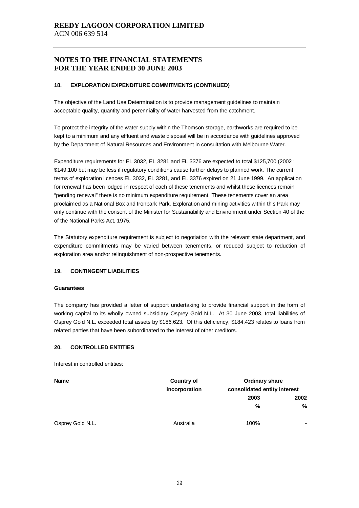#### **18. EXPLORATION EXPENDITURE COMMITMENTS (CONTINUED)**

The objective of the Land Use Determination is to provide management guidelines to maintain acceptable quality, quantity and perenniality of water harvested from the catchment.

To protect the integrity of the water supply within the Thomson storage, earthworks are required to be kept to a minimum and any effluent and waste disposal will be in accordance with guidelines approved by the Department of Natural Resources and Environment in consultation with Melbourne Water.

Expenditure requirements for EL 3032, EL 3281 and EL 3376 are expected to total \$125,700 (2002 : \$149,100 but may be less if regulatory conditions cause further delays to planned work. The current terms of exploration licences EL 3032, EL 3281, and EL 3376 expired on 21 June 1999. An application for renewal has been lodged in respect of each of these tenements and whilst these licences remain "pending renewal" there is no minimum expenditure requirement. These tenements cover an area proclaimed as a National Box and Ironbark Park. Exploration and mining activities within this Park may only continue with the consent of the Minister for Sustainability and Environment under Section 40 of the of the National Parks Act, 1975.

The Statutory expenditure requirement is subject to negotiation with the relevant state department, and expenditure commitments may be varied between tenements, or reduced subject to reduction of exploration area and/or relinquishment of non-prospective tenements.

#### **19. CONTINGENT LIABILITIES**

#### **Guarantees**

The company has provided a letter of support undertaking to provide financial support in the form of working capital to its wholly owned subsidiary Osprey Gold N.L. At 30 June 2003, total liabilities of Osprey Gold N.L. exceeded total assets by \$186,623. Of this deficiency, \$184,423 relates to loans from related parties that have been subordinated to the interest of other creditors.

#### **20. CONTROLLED ENTITIES**

Interest in controlled entities:

| <b>Name</b>      | <b>Country of</b> | <b>Ordinary share</b> |                              |  |  |
|------------------|-------------------|-----------------------|------------------------------|--|--|
|                  | incorporation     |                       | consolidated entity interest |  |  |
|                  |                   | 2003                  | 2002                         |  |  |
|                  |                   | %                     | %                            |  |  |
| Osprey Gold N.L. | Australia         | 100%                  |                              |  |  |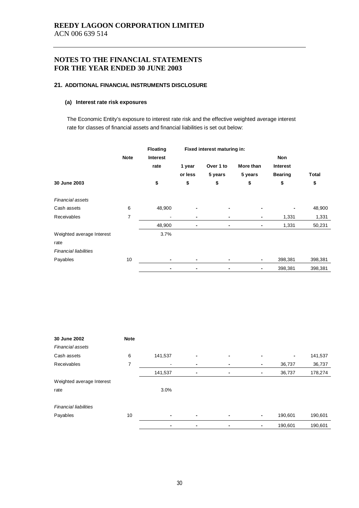#### **21. ADDITIONAL FINANCIAL INSTRUMENTS DISCLOSURE**

#### **(a) Interest rate risk exposures**

The Economic Entity's exposure to interest rate risk and the effective weighted average interest rate for classes of financial assets and financial liabilities is set out below:

|                              |             | <b>Floating</b> | Fixed interest maturing in: |                |                |                 |              |  |
|------------------------------|-------------|-----------------|-----------------------------|----------------|----------------|-----------------|--------------|--|
|                              | <b>Note</b> | <b>Interest</b> |                             |                |                | Non             |              |  |
|                              |             | rate            | 1 year                      | Over 1 to      | More than      | <b>Interest</b> |              |  |
|                              |             |                 | or less                     | 5 years        | 5 years        | <b>Bearing</b>  | <b>Total</b> |  |
| 30 June 2003                 |             | \$              | \$                          | \$             | \$             | \$              | \$           |  |
| Financial assets             |             |                 |                             |                |                |                 |              |  |
| Cash assets                  | 6           | 48,900          |                             |                | -              |                 | 48,900       |  |
| Receivables                  | 7           |                 | $\blacksquare$              | $\blacksquare$ | $\blacksquare$ | 1,331           | 1,331        |  |
|                              |             | 48,900          |                             |                | $\blacksquare$ | 1,331           | 50,231       |  |
| Weighted average Interest    |             | 3.7%            |                             |                |                |                 |              |  |
| rate                         |             |                 |                             |                |                |                 |              |  |
| <b>Financial liabilities</b> |             |                 |                             |                |                |                 |              |  |
| Payables                     | 10          |                 |                             |                | $\blacksquare$ | 398,381         | 398,381      |  |
|                              |             |                 |                             |                | $\blacksquare$ | 398,381         | 398,381      |  |

| 30 June 2002                 | <b>Note</b> |                |                |                |                |                |         |
|------------------------------|-------------|----------------|----------------|----------------|----------------|----------------|---------|
| <b>Financial assets</b>      |             |                |                |                |                |                |         |
| Cash assets                  | 6           | 141,537        | $\blacksquare$ | $\blacksquare$ | $\blacksquare$ | $\blacksquare$ | 141,537 |
| Receivables                  | 7           | ٠              | $\blacksquare$ | ٠              | $\blacksquare$ | 36,737         | 36,737  |
|                              |             | 141,537        | $\blacksquare$ | $\blacksquare$ | $\blacksquare$ | 36,737         | 178,274 |
| Weighted average Interest    |             |                |                |                |                |                |         |
| rate                         |             | 3.0%           |                |                |                |                |         |
| <b>Financial liabilities</b> |             |                |                |                |                |                |         |
| Payables                     | 10          | $\blacksquare$ | $\blacksquare$ | $\blacksquare$ | $\blacksquare$ | 190,601        | 190,601 |
|                              |             |                | $\blacksquare$ | $\blacksquare$ | $\blacksquare$ | 190,601        | 190,601 |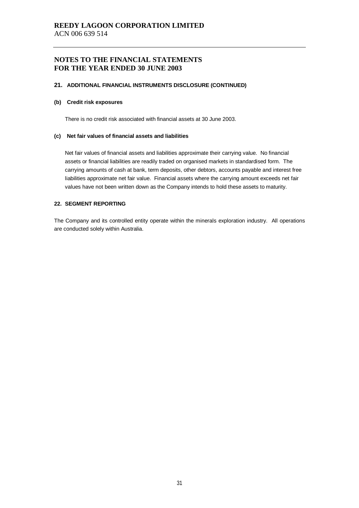#### **21. ADDITIONAL FINANCIAL INSTRUMENTS DISCLOSURE (CONTINUED)**

#### **(b) Credit risk exposures**

There is no credit risk associated with financial assets at 30 June 2003.

#### **(c) Net fair values of financial assets and liabilities**

Net fair values of financial assets and liabilities approximate their carrying value. No financial assets or financial liabilities are readily traded on organised markets in standardised form. The carrying amounts of cash at bank, term deposits, other debtors, accounts payable and interest free liabilities approximate net fair value. Financial assets where the carrying amount exceeds net fair values have not been written down as the Company intends to hold these assets to maturity.

#### **22. SEGMENT REPORTING**

The Company and its controlled entity operate within the minerals exploration industry. All operations are conducted solely within Australia.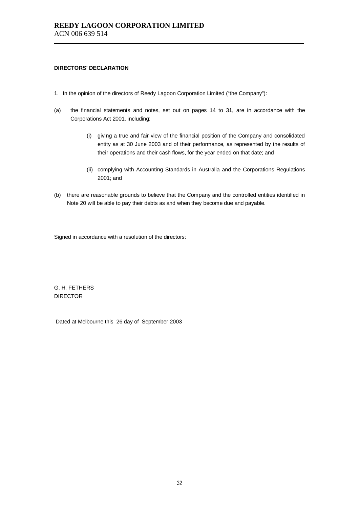#### **DIRECTORS' DECLARATION**

- 1. In the opinion of the directors of Reedy Lagoon Corporation Limited ("the Company"):
- (a) the financial statements and notes, set out on pages 14 to 31, are in accordance with the Corporations Act 2001, including:
	- (i) giving a true and fair view of the financial position of the Company and consolidated entity as at 30 June 2003 and of their performance, as represented by the results of their operations and their cash flows, for the year ended on that date; and
	- (ii) complying with Accounting Standards in Australia and the Corporations Regulations 2001; and
- (b) there are reasonable grounds to believe that the Company and the controlled entities identified in Note 20 will be able to pay their debts as and when they become due and payable.

Signed in accordance with a resolution of the directors:

G. H. FETHERS DIRECTOR

Dated at Melbourne this 26 day of September 2003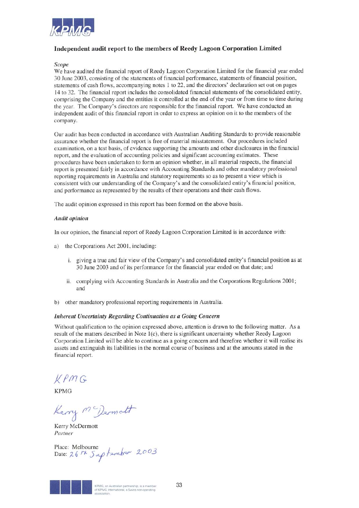

## Independent audit report to the members of Reedy Lagoon Corporation Limited

#### **Scope**

We have audited the financial report of Reedy Lagoon Corporation Limited for the financial year ended 30 June 2003, consisting of the statements of financial performance, statements of financial position, statements of cash flows, accompanying notes 1 to 22, and the directors' declaration set out on pages 14 to 32. The financial report includes the consolidated financial statements of the consolidated entity, comprising the Company and the entities it controlled at the end of the year or from time to time during the year. The Company's directors are responsible for the financial report. We have conducted an independent audit of this financial report in order to express an opinion on it to the members of the company.

Our audit has been conducted in accordance with Australian Auditing Standards to provide reasonable assurance whether the financial report is free of material misstatement. Our procedures included examination, on a test basis, of evidence supporting the amounts and other disclosures in the financial report, and the evaluation of accounting policies and significant accounting estimates. These procedures have been undertaken to form an opinion whether, in all material respects, the financial report is presented fairly in accordance with Accounting Standards and other mandatory professional reporting requirements in Australia and statutory requirements so as to present a view which is consistent with our understanding of the Company's and the consolidated entity's financial position, and performance as represented by the results of their operations and their cash flows.

The audit opinion expressed in this report has been formed on the above basis.

#### **Audit opinion**

In our opinion, the financial report of Reedy Lagoon Corporation Limited is in accordance with:

- a) the Corporations Act 2001, including:
	- i. giving a true and fair view of the Company's and consolidated entity's financial position as at 30 June 2003 and of its performance for the financial year ended on that date; and
	- ii. complying with Accounting Standards in Australia and the Corporations Regulations 2001; and
- other mandatory professional reporting requirements in Australia.  $h)$

#### **Inherent Uncertainty Regarding Continuation as a Going Concern**

Without qualification to the opinion expressed above, attention is drawn to the following matter. As a result of the matters described in Note 1(c), there is significant uncertainty whether Reedy Lagoon Corporation Limited will be able to continue as a going concern and therefore whether it will realise its assets and extinguish its liabilities in the normal course of business and at the amounts stated in the financial report.

 $KPMG$ 

**KPMG** 

herry McDermatt

Kerry McDermott Partner

Place: Melbourne<br>Date: 26 H Saptamber 2003